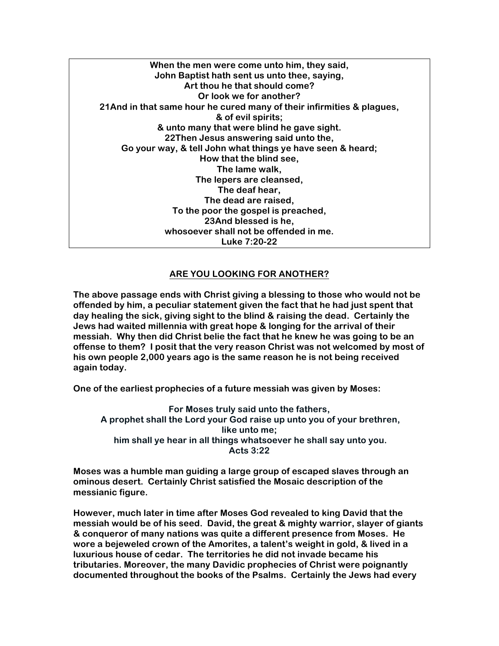**When the men were come unto him, they said, John Baptist hath sent us unto thee, saying, Art thou he that should come? Or look we for another? 21And in that same hour he cured many of their infirmities & plagues, & of evil spirits; & unto many that were blind he gave sight. 22Then Jesus answering said unto the, Go your way, & tell John what things ye have seen & heard; How that the blind see, The lame walk, The lepers are cleansed, The deaf hear, The dead are raised, To the poor the gospel is preached, 23And blessed is he, whosoever shall not be offended in me. Luke 7:20-22**

## **ARE YOU LOOKING FOR ANOTHER?**

**The above passage ends with Christ giving a blessing to those who would not be offended by him, a peculiar statement given the fact that he had just spent that day healing the sick, giving sight to the blind & raising the dead. Certainly the Jews had waited millennia with great hope & longing for the arrival of their messiah. Why then did Christ belie the fact that he knew he was going to be an offense to them? I posit that the very reason Christ was not welcomed by most of his own people 2,000 years ago is the same reason he is not being received again today.**

**One of the earliest prophecies of a future messiah was given by Moses:**

**For Moses truly said unto the fathers, A prophet shall the Lord your God raise up unto you of your brethren, like unto me; him shall ye hear in all things whatsoever he shall say unto you. Acts 3:22**

**Moses was a humble man guiding a large group of escaped slaves through an ominous desert. Certainly Christ satisfied the Mosaic description of the messianic figure.**

**However, much later in time after Moses God revealed to king David that the messiah would be of his seed. David, the great & mighty warrior, slayer of giants & conqueror of many nations was quite a different presence from Moses. He wore a bejeweled crown of the Amorites, a talent's weight in gold, & lived in a luxurious house of cedar. The territories he did not invade became his tributaries. Moreover, the many Davidic prophecies of Christ were poignantly documented throughout the books of the Psalms. Certainly the Jews had every**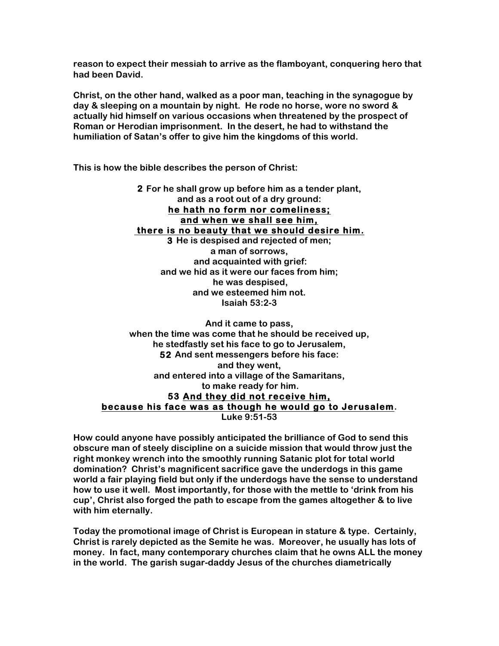**reason to expect their messiah to arrive as the flamboyant, conquering hero that had been David.**

**Christ, on the other hand, walked as a poor man, teaching in the synagogue by day & sleeping on a mountain by night. He rode no horse, wore no sword & actually hid himself on various occasions when threatened by the prospect of Roman or Herodian imprisonment. In the desert, he had to withstand the humiliation of Satan's offer to give him the kingdoms of this world.**

**This is how the bible describes the person of Christ:**

**2 For he shall grow up before him as a tender plant, and as a root out of a dry ground: he hath no form nor comeliness; and when we shall see him, there is no beauty that we should desire him. 3 He is despised and rejected of men; a man of sorrows, and acquainted with grief: and we hid as it were our faces from him; he was despised, and we esteemed him not. Isaiah 53:2-3**

**And it came to pass, when the time was come that he should be received up, he stedfastly set his face to go to Jerusalem, 52 And sent messengers before his face: and they went, and entered into a village of the Samaritans, to make ready for him. 53 And they did not receive him, because his face was as though he would go to Jerusalem. Luke 9:51-53**

**How could anyone have possibly anticipated the brilliance of God to send this obscure man of steely discipline on a suicide mission that would throw just the right monkey wrench into the smoothly running Satanic plot for total world domination? Christ's magnificent sacrifice gave the underdogs in this game world a fair playing field but only if the underdogs have the sense to understand how to use it well. Most importantly, for those with the mettle to 'drink from his cup', Christ also forged the path to escape from the games altogether & to live with him eternally.**

**Today the promotional image of Christ is European in stature & type. Certainly, Christ is rarely depicted as the Semite he was. Moreover, he usually has lots of money. In fact, many contemporary churches claim that he owns ALL the money in the world. The garish sugar-daddy Jesus of the churches diametrically**